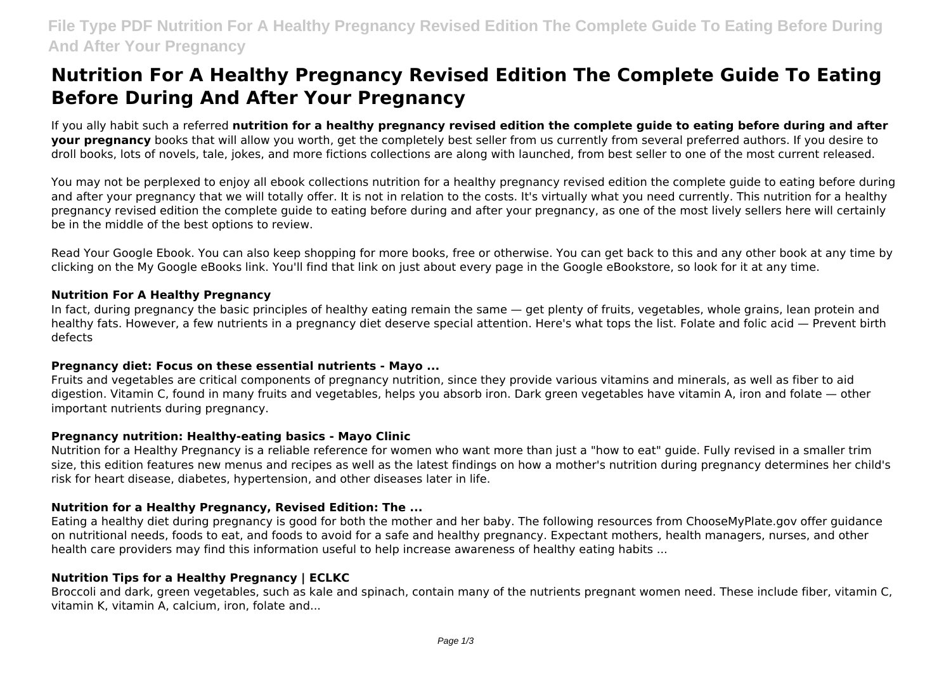# **Nutrition For A Healthy Pregnancy Revised Edition The Complete Guide To Eating Before During And After Your Pregnancy**

If you ally habit such a referred **nutrition for a healthy pregnancy revised edition the complete guide to eating before during and after your pregnancy** books that will allow you worth, get the completely best seller from us currently from several preferred authors. If you desire to droll books, lots of novels, tale, jokes, and more fictions collections are along with launched, from best seller to one of the most current released.

You may not be perplexed to enjoy all ebook collections nutrition for a healthy pregnancy revised edition the complete guide to eating before during and after your pregnancy that we will totally offer. It is not in relation to the costs. It's virtually what you need currently. This nutrition for a healthy pregnancy revised edition the complete guide to eating before during and after your pregnancy, as one of the most lively sellers here will certainly be in the middle of the best options to review.

Read Your Google Ebook. You can also keep shopping for more books, free or otherwise. You can get back to this and any other book at any time by clicking on the My Google eBooks link. You'll find that link on just about every page in the Google eBookstore, so look for it at any time.

#### **Nutrition For A Healthy Pregnancy**

In fact, during pregnancy the basic principles of healthy eating remain the same — get plenty of fruits, vegetables, whole grains, lean protein and healthy fats. However, a few nutrients in a pregnancy diet deserve special attention. Here's what tops the list. Folate and folic acid — Prevent birth defects

#### **Pregnancy diet: Focus on these essential nutrients - Mayo ...**

Fruits and vegetables are critical components of pregnancy nutrition, since they provide various vitamins and minerals, as well as fiber to aid digestion. Vitamin C, found in many fruits and vegetables, helps you absorb iron. Dark green vegetables have vitamin A, iron and folate — other important nutrients during pregnancy.

# **Pregnancy nutrition: Healthy-eating basics - Mayo Clinic**

Nutrition for a Healthy Pregnancy is a reliable reference for women who want more than just a "how to eat" guide. Fully revised in a smaller trim size, this edition features new menus and recipes as well as the latest findings on how a mother's nutrition during pregnancy determines her child's risk for heart disease, diabetes, hypertension, and other diseases later in life.

# **Nutrition for a Healthy Pregnancy, Revised Edition: The ...**

Eating a healthy diet during pregnancy is good for both the mother and her baby. The following resources from ChooseMyPlate.gov offer guidance on nutritional needs, foods to eat, and foods to avoid for a safe and healthy pregnancy. Expectant mothers, health managers, nurses, and other health care providers may find this information useful to help increase awareness of healthy eating habits ...

# **Nutrition Tips for a Healthy Pregnancy | ECLKC**

Broccoli and dark, green vegetables, such as kale and spinach, contain many of the nutrients pregnant women need. These include fiber, vitamin C, vitamin K, vitamin A, calcium, iron, folate and...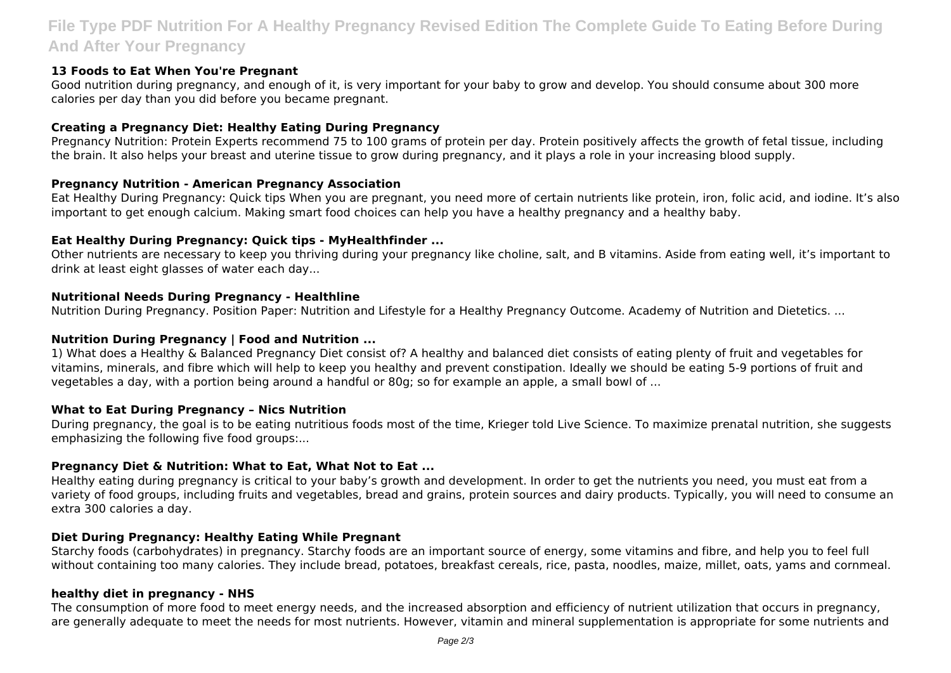# **File Type PDF Nutrition For A Healthy Pregnancy Revised Edition The Complete Guide To Eating Before During And After Your Pregnancy**

# **13 Foods to Eat When You're Pregnant**

Good nutrition during pregnancy, and enough of it, is very important for your baby to grow and develop. You should consume about 300 more calories per day than you did before you became pregnant.

# **Creating a Pregnancy Diet: Healthy Eating During Pregnancy**

Pregnancy Nutrition: Protein Experts recommend 75 to 100 grams of protein per day. Protein positively affects the growth of fetal tissue, including the brain. It also helps your breast and uterine tissue to grow during pregnancy, and it plays a role in your increasing blood supply.

#### **Pregnancy Nutrition - American Pregnancy Association**

Eat Healthy During Pregnancy: Quick tips When you are pregnant, you need more of certain nutrients like protein, iron, folic acid, and iodine. It's also important to get enough calcium. Making smart food choices can help you have a healthy pregnancy and a healthy baby.

#### **Eat Healthy During Pregnancy: Quick tips - MyHealthfinder ...**

Other nutrients are necessary to keep you thriving during your pregnancy like choline, salt, and B vitamins. Aside from eating well, it's important to drink at least eight glasses of water each day...

#### **Nutritional Needs During Pregnancy - Healthline**

Nutrition During Pregnancy. Position Paper: Nutrition and Lifestyle for a Healthy Pregnancy Outcome. Academy of Nutrition and Dietetics. ...

#### **Nutrition During Pregnancy | Food and Nutrition ...**

1) What does a Healthy & Balanced Pregnancy Diet consist of? A healthy and balanced diet consists of eating plenty of fruit and vegetables for vitamins, minerals, and fibre which will help to keep you healthy and prevent constipation. Ideally we should be eating 5-9 portions of fruit and vegetables a day, with a portion being around a handful or 80g; so for example an apple, a small bowl of ...

#### **What to Eat During Pregnancy – Nics Nutrition**

During pregnancy, the goal is to be eating nutritious foods most of the time, Krieger told Live Science. To maximize prenatal nutrition, she suggests emphasizing the following five food groups:...

# **Pregnancy Diet & Nutrition: What to Eat, What Not to Eat ...**

Healthy eating during pregnancy is critical to your baby's growth and development. In order to get the nutrients you need, you must eat from a variety of food groups, including fruits and vegetables, bread and grains, protein sources and dairy products. Typically, you will need to consume an extra 300 calories a day.

#### **Diet During Pregnancy: Healthy Eating While Pregnant**

Starchy foods (carbohydrates) in pregnancy. Starchy foods are an important source of energy, some vitamins and fibre, and help you to feel full without containing too many calories. They include bread, potatoes, breakfast cereals, rice, pasta, noodles, maize, millet, oats, yams and cornmeal.

#### **healthy diet in pregnancy - NHS**

The consumption of more food to meet energy needs, and the increased absorption and efficiency of nutrient utilization that occurs in pregnancy, are generally adequate to meet the needs for most nutrients. However, vitamin and mineral supplementation is appropriate for some nutrients and